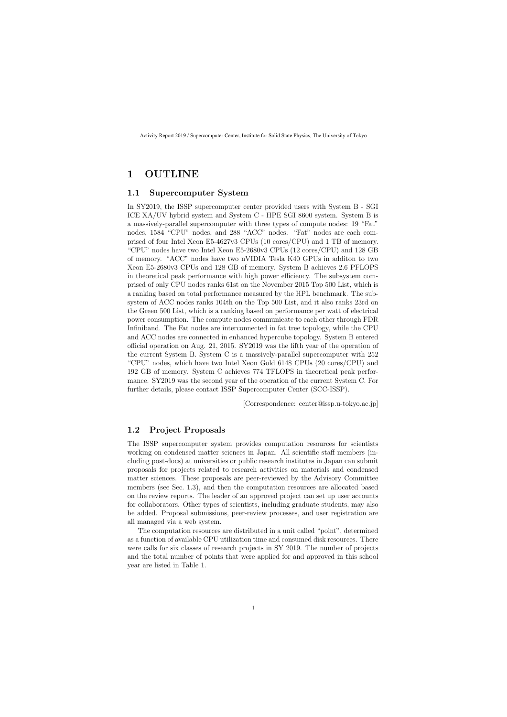# **1 OUTLINE**

#### **1.1 Supercomputer System**

In SY2019, the ISSP supercomputer center provided users with System B - SGI ICE XA/UV hybrid system and System C - HPE SGI 8600 system. System B is a massively-parallel supercomputer with three types of compute nodes: 19 "Fat" nodes, 1584 "CPU" nodes, and 288 "ACC" nodes. "Fat" nodes are each comprised of four Intel Xeon E5-4627v3 CPUs (10 cores/CPU) and 1 TB of memory. "CPU" nodes have two Intel Xeon E5-2680v3 CPUs (12 cores/CPU) and 128 GB of memory. "ACC" nodes have two nVIDIA Tesla K40 GPUs in additon to two Xeon E5-2680v3 CPUs and 128 GB of memory. System B achieves 2.6 PFLOPS in theoretical peak performance with high power efficiency. The subsystem comprised of only CPU nodes ranks 61st on the November 2015 Top 500 List, which is a ranking based on total performance measured by the HPL benchmark. The subsystem of ACC nodes ranks 104th on the Top 500 List, and it also ranks 23rd on the Green 500 List, which is a ranking based on performance per watt of electrical power consumption. The compute nodes communicate to each other through FDR Infiniband. The Fat nodes are interconnected in fat tree topology, while the CPU and ACC nodes are connected in enhanced hypercube topology. System B entered official operation on Aug. 21, 2015. SY2019 was the fifth year of the operation of the current System B. System C is a massively-parallel supercomputer with 252 "CPU" nodes, which have two Intel Xeon Gold 6148 CPUs (20 cores/CPU) and 192 GB of memory. System C achieves 774 TFLOPS in theoretical peak performance. SY2019 was the second year of the operation of the current System C. For further details, please contact ISSP Supercomputer Center (SCC-ISSP).

[Correspondence: center@issp.u-tokyo.ac.jp]

### **1.2 Project Proposals**

The ISSP supercomputer system provides computation resources for scientists working on condensed matter sciences in Japan. All scientific staff members (including post-docs) at universities or public research institutes in Japan can submit proposals for projects related to research activities on materials and condensed matter sciences. These proposals are peer-reviewed by the Advisory Committee members (see Sec. 1.3), and then the computation resources are allocated based on the review reports. The leader of an approved project can set up user accounts for collaborators. Other types of scientists, including graduate students, may also be added. Proposal submissions, peer-review processes, and user registration are all managed via a web system.

The computation resources are distributed in a unit called "point", determined as a function of available CPU utilization time and consumed disk resources. There were calls for six classes of research projects in SY 2019. The number of projects and the total number of points that were applied for and approved in this school year are listed in Table 1.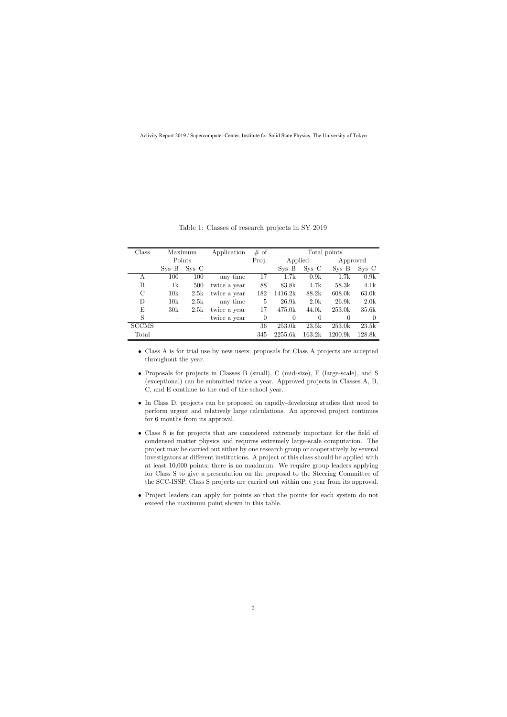| Class         |         | Maximum | Application  | # of     |           |          | Total points       |          |
|---------------|---------|---------|--------------|----------|-----------|----------|--------------------|----------|
|               |         | Points  |              | Proj.    | Applied   |          | Approved           |          |
|               | $Sys-B$ | $Sys-C$ |              |          | $SVS - B$ | $Sys-C$  | $SVS - B$          | $Sys-C$  |
| A             | 100     | 100     | any time     | 17       | 1.7k      | 0.9k     | 1.7k               | 0.9k     |
| Β             | 1k      | 500     | twice a year | 88       | 83.8k     | 4.7k     | 58.3k              | 4.1k     |
| $\mathcal{C}$ | 10k     | 2.5k    | twice a year | 182      | 1416.2k   | 88.2k    | 608.0 <sub>k</sub> | 63.0k    |
| D             | 10k     | 2.5k    | any time     | 5        | 26.9k     | 2.0k     | 26.9k              | 2.0k     |
| Ε             | 30k     | 2.5k    | twice a year | 17       | 475.0k    | 44.0k    | 253.0k             | 35.6k    |
| S             |         |         | twice a year | $\Omega$ | $\theta$  | $\Omega$ | $\Omega$           | $\theta$ |
| <b>SCCMS</b>  |         |         |              | 36       | 253.0k    | 23.5k    | 253.0k             | 23.5k    |
| Total         |         |         |              | 345      | 2255.6k   | 163.2k   | 1200.9k            | 128.8k   |

Table 1: Classes of research projects in SY 2019

- *•* Class A is for trial use by new users; proposals for Class A projects are accepted throughout the year.
- *•* Proposals for projects in Classes B (small), C (mid-size), E (large-scale), and S (exceptional) can be submitted twice a year. Approved projects in Classes A, B, C, and E continue to the end of the school year.
- In Class D, projects can be proposed on rapidly-developing studies that need to perform urgent and relatively large calculations. An approved project continues for 6 months from its approval.
- *•* Class S is for projects that are considered extremely important for the field of condensed matter physics and requires extremely large-scale computation. The project may be carried out either by one research group or cooperatively by several investigators at different institutions. A project of this class should be applied with at least 10,000 points; there is no maximum. We require group leaders applying for Class S to give a presentation on the proposal to the Steering Committee of the SCC-ISSP. Class S projects are carried out within one year from its approval.
- Project leaders can apply for points so that the points for each system do not exceed the maximum point shown in this table.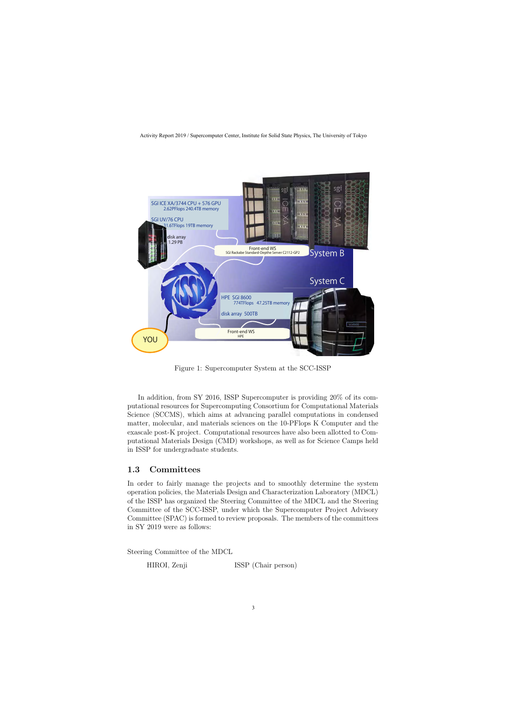

Figure 1: Supercomputer System at the SCC-ISSP

In addition, from SY 2016, ISSP Supercomputer is providing 20% of its computational resources for Supercomputing Consortium for Computational Materials Science (SCCMS), which aims at advancing parallel computations in condensed matter, molecular, and materials sciences on the 10-PFlops K Computer and the exascale post-K project. Computational resources have also been allotted to Computational Materials Design (CMD) workshops, as well as for Science Camps held in ISSP for undergraduate students.

## **1.3 Committees**

In order to fairly manage the projects and to smoothly determine the system operation policies, the Materials Design and Characterization Laboratory (MDCL) of the ISSP has organized the Steering Committee of the MDCL and the Steering Committee of the SCC-ISSP, under which the Supercomputer Project Advisory Committee (SPAC) is formed to review proposals. The members of the committees in SY 2019 were as follows:

Steering Committee of the MDCL

HIROI, Zenji ISSP (Chair person)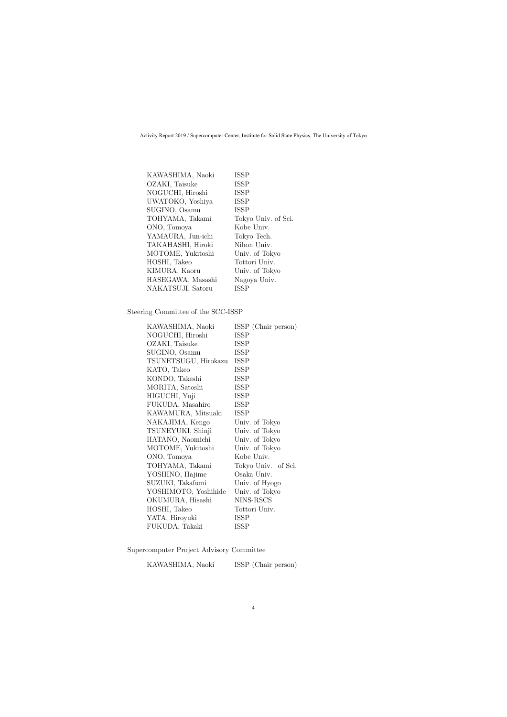| KAWASHIMA, Naoki  | <b>ISSP</b>         |
|-------------------|---------------------|
| OZAKI, Taisuke    | <b>ISSP</b>         |
| NOGUCHI, Hiroshi  | <b>ISSP</b>         |
| UWATOKO, Yoshiya  | <b>ISSP</b>         |
| SUGINO, Osamu     | <b>ISSP</b>         |
| TOHYAMA, Takami   | Tokyo Univ. of Sci. |
| ONO, Tomoya       | Kobe Univ.          |
| YAMAURA, Jun-ichi | Tokyo Tech.         |
| TAKAHASHI, Hiroki | Nihon Univ.         |
| MOTOME, Yukitoshi | Univ. of Tokyo      |
| HOSHI, Takeo      | Tottori Univ.       |
| KIMURA, Kaoru     | Univ. of Tokyo      |
| HASEGAWA, Masashi | Nagoya Univ.        |
| NAKATSUJI, Satoru | <b>ISSP</b>         |
|                   |                     |

Steering Committee of the SCC-ISSP

| KAWASHIMA, Naoki     | ISSP (Chair person) |
|----------------------|---------------------|
| NOGUCHI, Hiroshi     | ISSP                |
| OZAKI, Taisuke       | ISSP                |
| SUGINO, Osamu        | ISSP                |
| TSUNETSUGU, Hirokazu | <b>ISSP</b>         |
| KATO, Takeo          | <b>ISSP</b>         |
| KONDO, Takeshi       | <b>ISSP</b>         |
| MORITA, Satoshi      | ISSP                |
| HIGUCHI, Yuji        | <b>ISSP</b>         |
| FUKUDA, Masahiro     | <b>ISSP</b>         |
| KAWAMURA, Mitsuaki   | <b>ISSP</b>         |
| NAKAJIMA, Kengo      | Univ. of Tokyo      |
| TSUNEYUKI, Shinji    | Univ. of Tokyo      |
| HATANO, Naomichi     | Univ. of Tokyo      |
| MOTOME, Yukitoshi    | Univ. of Tokyo      |
| ONO, Tomoya          | Kobe Univ.          |
| TOHYAMA, Takami      | Tokyo Univ. of Sci. |
| YOSHINO, Hajime      | Osaka Univ.         |
| SUZUKI, Takafumi     | Univ. of Hyogo      |
| YOSHIMOTO, Yoshihide | Univ. of Tokyo      |
| OKUMURA, Hisashi     | NINS-RSCS           |
| HOSHI, Takeo         | Tottori Univ.       |
| YATA, Hiroyuki       | ISSP                |
| FUKUDA, Takaki       | <b>ISSP</b>         |

Supercomputer Project Advisory Committee

KAWASHIMA, Naoki ISSP (Chair person)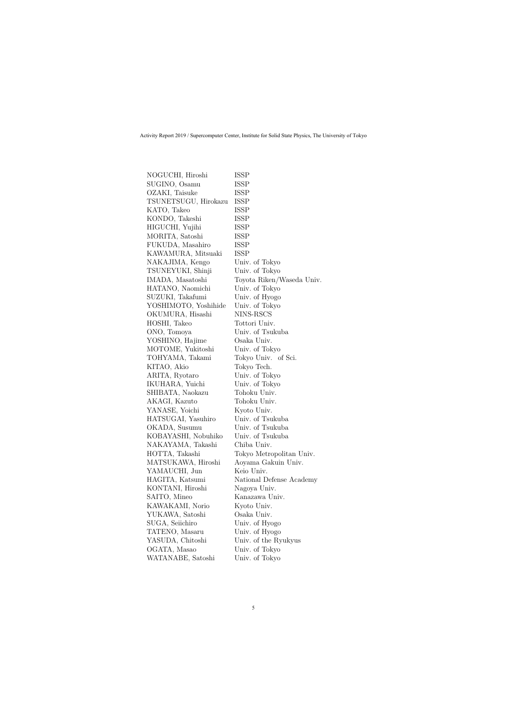| NOGUCHI, Hiroshi     | ISSP                      |
|----------------------|---------------------------|
| SUGINO, Osamu        | ISSP                      |
| OZAKI, Taisuke       | ISSP                      |
| TSUNETSUGU, Hirokazu | <b>ISSP</b>               |
| KATO, Takeo          | <b>ISSP</b>               |
| KONDO, Takeshi       | <b>ISSP</b>               |
| HIGUCHI, Yujihi      | ISSP                      |
| MORITA, Satoshi      | ISSP                      |
| FUKUDA, Masahiro     | ISSP                      |
| KAWAMURA, Mitsuaki   | <b>ISSP</b>               |
| NAKAJIMA, Kengo      | Univ. of Tokyo            |
| TSUNEYUKI, Shinji    | Univ. of Tokyo            |
| IMADA, Masatoshi     | Toyota Riken/Waseda Univ. |
| HATANO, Naomichi     | Univ. of Tokyo            |
| SUZUKI, Takafumi     | Univ. of Hyogo            |
| YOSHIMOTO, Yoshihide | Univ. of Tokyo            |
| OKUMURA, Hisashi     | NINS-RSCS                 |
| HOSHI, Takeo         | Tottori Univ.             |
| ONO, Tomoya          | Univ. of Tsukuba          |
| YOSHINO, Hajime      | Osaka Univ.               |
| MOTOME, Yukitoshi    | Univ. of Tokyo            |
| TOHYAMA, Takami      | Tokyo Univ. of Sci.       |
| KITAO, Akio          | Tokyo Tech.               |
| ARITA, Ryotaro       | Univ. of Tokyo            |
| IKUHARA, Yuichi      | Univ. of Tokyo            |
| SHIBATA, Naokazu     | Tohoku Univ.              |
| AKAGI, Kazuto        | Tohoku Univ.              |
| YANASE, Yoichi       | Kyoto Univ.               |
| HATSUGAI, Yasuhiro   | Univ. of Tsukuba          |
| OKADA, Susumu        | Univ. of Tsukuba          |
| KOBAYASHI, Nobuhiko  | Univ. of Tsukuba          |
| NAKAYAMA, Takashi    | Chiba Univ.               |
| HOTTA, Takashi       | Tokyo Metropolitan Univ.  |
| MATSUKAWA, Hiroshi   | Aoyama Gakuin Univ.       |
| YAMAUCHI, Jun        | Keio Univ.                |
| HAGITA, Katsumi      | National Defense Academy  |
| KONTANI, Hiroshi     | Nagoya Univ.              |
| SAITO, Mineo         | Kanazawa Univ.            |
| KAWAKAMI, Norio      | Kyoto Univ.               |
| YUKAWA, Satoshi      | Osaka Univ.               |
| SUGA, Seiichiro      | Univ. of Hyogo            |
| TATENO, Masaru       | Univ. of Hyogo            |
| YASUDA, Chitoshi     | Univ. of the Ryukyus      |
| OGATA, Masao         | Univ. of Tokyo            |
| WATANABE, Satoshi    | Univ. of Tokyo            |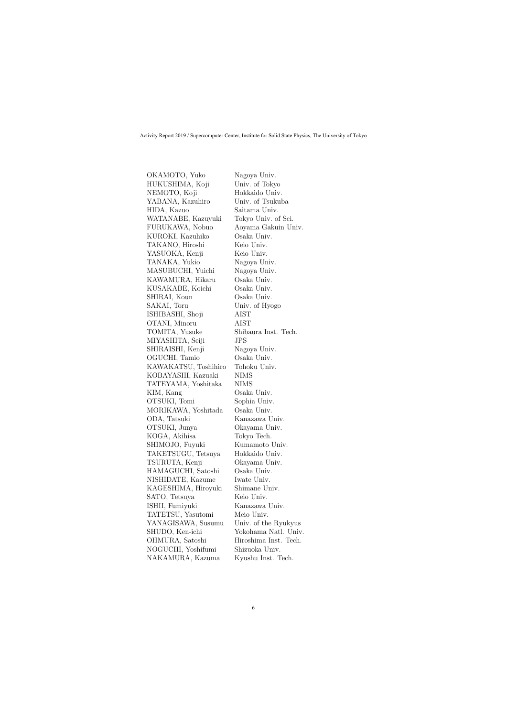OKAMOTO, Yuko Nagoya Univ. HUKUSHIMA, Koji Univ. of Tokyo NEMOTO, Koji Hokkaido Univ. YABANA, Kazuhiro Univ. of Tsukuba HIDA, Kazuo Saitama Univ. WATANABE, Kazuyuki Tokyo Univ. of Sci. FURUKAWA, Nobuo Aoyama Gakuin Univ. KUROKI, Kazuhiko Osaka Univ. TAKANO, Hiroshi Keio Univ. YASUOKA, Kenji Keio Univ. TANAKA, Yukio Nagoya Univ. MASUBUCHI, Yuichi Nagoya Univ. KAWAMURA, Hikaru Osaka Univ. KUSAKABE, Koichi Osaka Univ. SHIRAI, Koun Osaka Univ. SAKAI, Toru Univ. of Hyogo ISHIBASHI, Shoji AIST OTANI, Minoru AIST TOMITA, Yusuke Shibaura Inst. Tech. MIYASHITA, Seiji JPS SHIRAISHI, Kenji Nagoya Univ. OGUCHI, Tamio Osaka Univ. KAWAKATSU, Toshihiro Tohoku Univ. KOBAYASHI, Kazuaki NIMS TATEYAMA, Yoshitaka NIMS KIM, Kang  $Osaka Univ.$ OTSUKI, Tomi Sophia Univ. MORIKAWA, Yoshitada Osaka Univ. ODA, Tatsuki Kanazawa Univ. OTSUKI, Junya Okayama Univ. KOGA, Akihisa Tokyo Tech. SHIMOJO, Fuyuki Kumamoto Univ. TAKETSUGU, Tetsuya Hokkaido Univ. TSURUTA, Kenji Okayama Univ. HAMAGUCHI, Satoshi Osaka Univ. NISHIDATE, Kazume Iwate Univ. KAGESHIMA, Hiroyuki Shimane Univ. SATO, Tetsuya Keio Univ. ISHII, Fumiyuki Kanazawa Univ. TATETSU, Yasutomi Meio Univ. YANAGISAWA, Susumu Univ. of the Ryukyus SHUDO, Ken-ichi Yokohama Natl. Univ. OHMURA, Satoshi Hiroshima Inst. Tech. NOGUCHI, Yoshifumi Shizuoka Univ. NAKAMURA, Kazuma Kyushu Inst. Tech.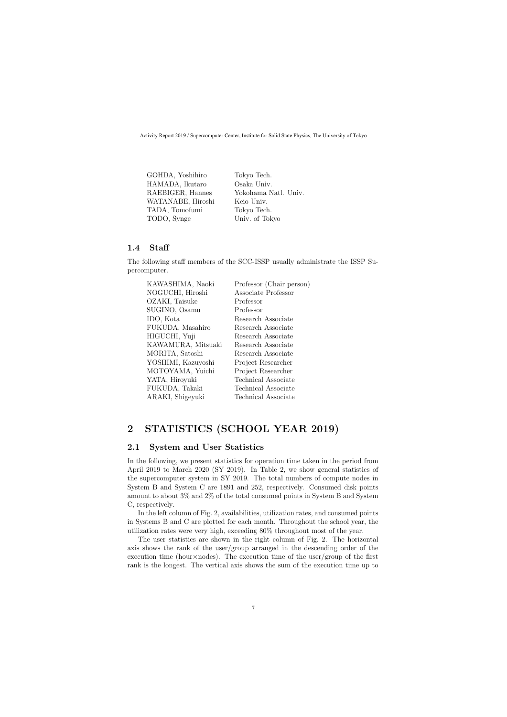| GOHDA, Yoshihiro  | Tokyo Tech.          |
|-------------------|----------------------|
| HAMADA, Ikutaro   | Osaka Univ.          |
| RAEBIGER, Hannes  | Yokohama Natl. Univ. |
| WATANABE, Hiroshi | Keio Univ.           |
| TADA, Tomofumi    | Tokyo Tech.          |
| TODO, Synge       | Univ. of Tokyo       |
|                   |                      |

### **1.4 Staff**

The following staff members of the SCC-ISSP usually administrate the ISSP Supercomputer.

| Professor (Chair person)   |
|----------------------------|
| Associate Professor        |
| Professor                  |
| Professor                  |
| Research Associate         |
| Research Associate         |
| Research Associate         |
| Research Associate         |
| Research Associate         |
| Project Researcher         |
| Project Researcher         |
| <b>Technical Associate</b> |
| Technical Associate        |
| Technical Associate        |
|                            |

# **2 STATISTICS (SCHOOL YEAR 2019)**

## **2.1 System and User Statistics**

In the following, we present statistics for operation time taken in the period from April 2019 to March 2020 (SY 2019). In Table 2, we show general statistics of the supercomputer system in SY 2019. The total numbers of compute nodes in System B and System C are 1891 and 252, respectively. Consumed disk points amount to about 3% and 2% of the total consumed points in System B and System C, respectively.

In the left column of Fig. 2, availabilities, utilization rates, and consumed points in Systems B and C are plotted for each month. Throughout the school year, the utilization rates were very high, exceeding 80% throughout most of the year.

The user statistics are shown in the right column of Fig. 2. The horizontal axis shows the rank of the user/group arranged in the descending order of the execution time (hour*×*nodes). The execution time of the user/group of the first rank is the longest. The vertical axis shows the sum of the execution time up to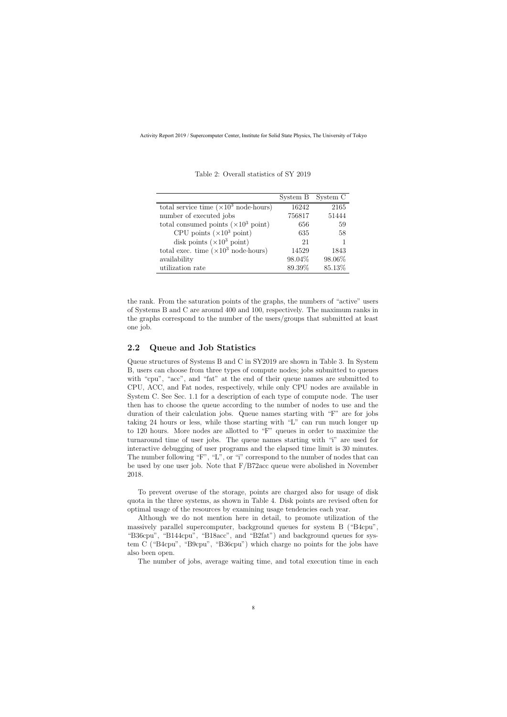|                                                       | System B | System C |
|-------------------------------------------------------|----------|----------|
| total service time $(\times 10^3 \text{ node-hours})$ | 16242    | 2165     |
| number of executed jobs                               | 756817   | 51444    |
| total consumed points $(\times 10^3 \text{ point})$   | 656      | 59       |
| CPU points $(\times 10^3 \text{ point})$              | 635      | 58       |
| disk points $(\times 10^3 \text{ point})$             | 21       |          |
| total exec. time $(\times 10^3 \text{ node-hours})$   | 14529    | 1843     |
| availability                                          | 98.04%   | 98.06%   |
| utilization rate                                      | 89.39%   | 85.13%   |

Table 2: Overall statistics of SY 2019

the rank. From the saturation points of the graphs, the numbers of "active" users of Systems B and C are around 400 and 100, respectively. The maximum ranks in the graphs correspond to the number of the users/groups that submitted at least one job.

### **2.2 Queue and Job Statistics**

Queue structures of Systems B and C in SY2019 are shown in Table 3. In System B, users can choose from three types of compute nodes; jobs submitted to queues with "cpu", "acc", and "fat" at the end of their queue names are submitted to CPU, ACC, and Fat nodes, respectively, while only CPU nodes are available in System C. See Sec. 1.1 for a description of each type of compute node. The user then has to choose the queue according to the number of nodes to use and the duration of their calculation jobs. Queue names starting with "F" are for jobs taking 24 hours or less, while those starting with "L" can run much longer up to 120 hours. More nodes are allotted to "F" queues in order to maximize the turnaround time of user jobs. The queue names starting with "i" are used for interactive debugging of user programs and the elapsed time limit is 30 minutes. The number following "F", "L", or "i" correspond to the number of nodes that can be used by one user job. Note that  $F/B72$  accuse were abolished in November 2018.

To prevent overuse of the storage, points are charged also for usage of disk quota in the three systems, as shown in Table 4. Disk points are revised often for optimal usage of the resources by examining usage tendencies each year.

Although we do not mention here in detail, to promote utilization of the massively parallel supercomputer, background queues for system B ("B4cpu", "B36cpu", "B144cpu", "B18acc", and "B2fat") and background queues for system C ("B4cpu", "B9cpu", "B36cpu") which charge no points for the jobs have also been open.

The number of jobs, average waiting time, and total execution time in each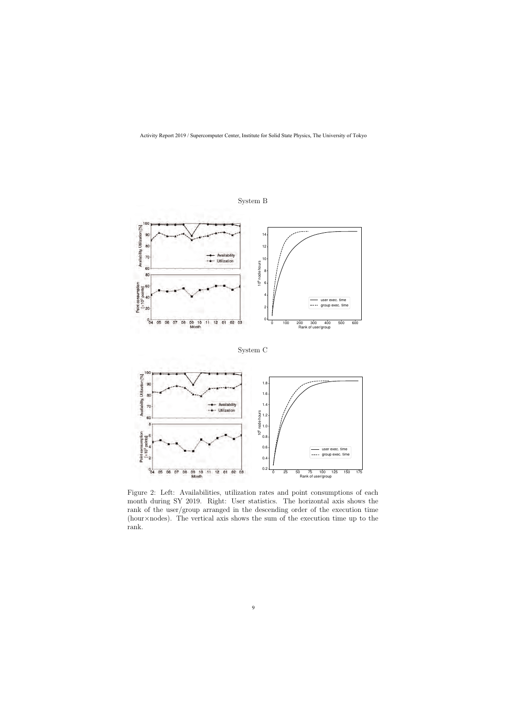

System B



Figure 2: Left: Availabilities, utilization rates and point consumptions of each month during SY 2019. Right: User statistics. The horizontal axis shows the rank of the user/group arranged in the descending order of the execution time (hour*×*nodes). The vertical axis shows the sum of the execution time up to the rank.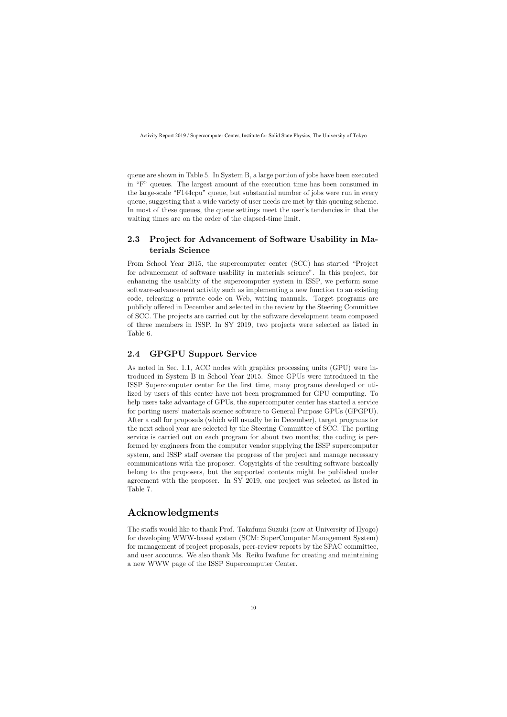queue are shown in Table 5. In System B, a large portion of jobs have been executed in "F" queues. The largest amount of the execution time has been consumed in the large-scale "F144cpu" queue, but substantial number of jobs were run in every queue, suggesting that a wide variety of user needs are met by this queuing scheme. In most of these queues, the queue settings meet the user's tendencies in that the waiting times are on the order of the elapsed-time limit.

# **2.3 Project for Advancement of Software Usability in Materials Science**

From School Year 2015, the supercomputer center (SCC) has started "Project for advancement of software usability in materials science". In this project, for enhancing the usability of the supercomputer system in ISSP, we perform some software-advancement activity such as implementing a new function to an existing code, releasing a private code on Web, writing manuals. Target programs are publicly offered in December and selected in the review by the Steering Committee of SCC. The projects are carried out by the software development team composed of three members in ISSP. In SY 2019, two projects were selected as listed in Table 6.

## **2.4 GPGPU Support Service**

As noted in Sec. 1.1, ACC nodes with graphics processing units (GPU) were introduced in System B in School Year 2015. Since GPUs were introduced in the ISSP Supercomputer center for the first time, many programs developed or utilized by users of this center have not been programmed for GPU computing. To help users take advantage of GPUs, the supercomputer center has started a service for porting users' materials science software to General Purpose GPUs (GPGPU). After a call for proposals (which will usually be in December), target programs for the next school year are selected by the Steering Committee of SCC. The porting service is carried out on each program for about two months; the coding is performed by engineers from the computer vendor supplying the ISSP supercomputer system, and ISSP staff oversee the progress of the project and manage necessary communications with the proposer. Copyrights of the resulting software basically belong to the proposers, but the supported contents might be published under agreement with the proposer. In SY 2019, one project was selected as listed in Table 7.

# **Acknowledgments**

The staffs would like to thank Prof. Takafumi Suzuki (now at University of Hyogo) for developing WWW-based system (SCM: SuperComputer Management System) for management of project proposals, peer-review reports by the SPAC committee, and user accounts. We also thank Ms. Reiko Iwafune for creating and maintaining a new WWW page of the ISSP Supercomputer Center.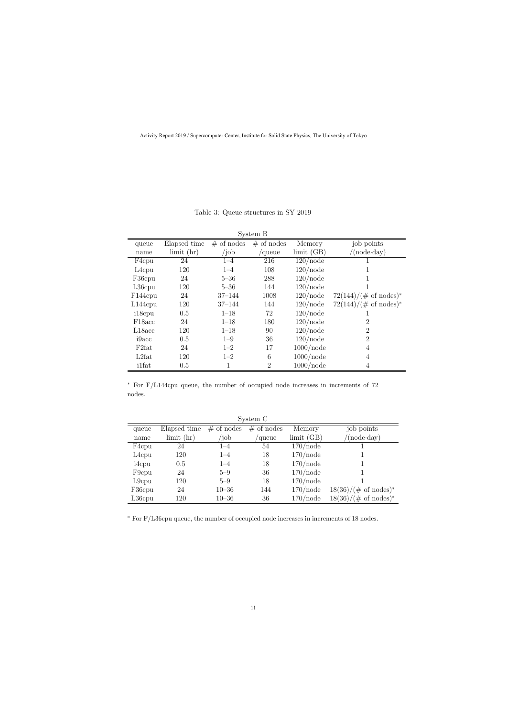| System B             |                  |              |                |                  |                                  |
|----------------------|------------------|--------------|----------------|------------------|----------------------------------|
| queue                | Elapsed time     | $#$ of nodes | $#$ of nodes   | Memory           | job points                       |
| name                 | $\lim$ it $(hr)$ | /job         | 'queue         | $\lim$ it $(GB)$ | $(node \cdot day)$               |
| F4cpu                | 24               | $1 - 4$      | 216            | $120$ /node      |                                  |
| $L4$ cpu             | 120              | $1 - 4$      | 108            | $120$ /node      |                                  |
| F36cpu               | 24               | $5 - 36$     | 288            | $120$ /node      |                                  |
| $L36$ cpu            | 120              | $5 - 36$     | 144            | $120$ /node      |                                  |
| F <sub>144</sub> cpu | 24               | $37 - 144$   | 1008           | $120$ /node      | $72(144)/(\text{\# of nodes})^*$ |
| $L144$ cpu           | 120              | $37 - 144$   | 144            | $120$ /node      | $72(144)/(\text{\# of nodes})^*$ |
| i18cpu               | 0.5              | $1 - 18$     | 72             | $120$ /node      |                                  |
| F <sub>18</sub> acc  | 24               | $1 - 18$     | 180            | $120$ /node      | $\overline{2}$                   |
| L18acc               | 120              | $1 - 18$     | 90             | $120$ /node      | $\overline{2}$                   |
| i9acc                | 0.5              | $1 - 9$      | 36             | $120$ /node      | $\overline{2}$                   |
| F <sub>2fat</sub>    | 24               | $1 - 2$      | 17             | $1000$ /node     | 4                                |
| L2fat                | 120              | $1 - 2$      | 6              | $1000$ /node     | $\overline{4}$                   |
| <i>i</i> 1fat        | 0.5              |              | $\overline{2}$ | $1000$ /node     | 4                                |

Table 3: Queue structures in SY 2019

*∗* For F/L144cpu queue, the number of occupied node increases in increments of 72 nodes.

| System C           |                              |               |              |             |                                 |
|--------------------|------------------------------|---------------|--------------|-------------|---------------------------------|
| queue              | Elapsed time                 | $\#$ of nodes | $#$ of nodes | Memory      | job points                      |
| name               | $\lim$ it $\left(\ln\right)$ | $\delta$      | 'queue       | limit(GB)   | $(\text{node-day})$             |
| F4cpu              | 24                           | $1 - 4$       | 54           | $170$ /node |                                 |
| L <sub>4</sub> cpu | 120                          | $1 - 4$       | 18           | $170$ /node |                                 |
| i4cpu              | 0.5                          | $1 - 4$       | 18           | $170$ /node |                                 |
| F <sub>9</sub> cpu | 24                           | $5 - 9$       | 36           | $170$ /node |                                 |
| $L9$ cpu           | 120                          | $5 - 9$       | 18           | $170$ /node |                                 |
| F36cpu             | 24                           | $10 - 36$     | 144          | $170$ /node | $18(36)/(\text{\# of nodes})^*$ |
| $L36$ cpu          | 120                          | $10 - 36$     | 36           | $170$ /node | $18(36)/(\text{\# of nodes})^*$ |

*∗* For F/L36cpu queue, the number of occupied node increases in increments of 18 nodes.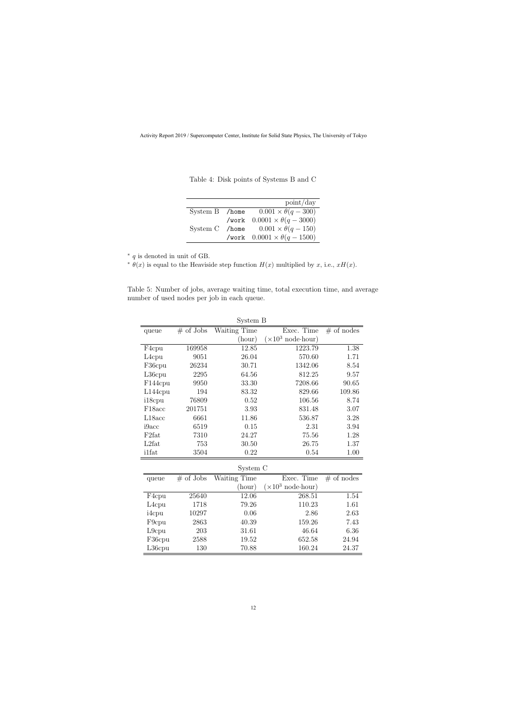|                |       | point/day                              |
|----------------|-------|----------------------------------------|
| System B /home |       | $0.001 \times \theta(q-300)$           |
|                | /work | $0.0001 \times \theta(q - 3000)$       |
| System C       |       | /home $0.001 \times \theta(q-150)$     |
|                |       | /work $0.0001 \times \theta(q - 1500)$ |

Table 4: Disk points of Systems B and C

*∗ q* is denoted in unit of GB.

 $\theta(x)$  is equal to the Heaviside step function  $H(x)$  multiplied by *x*, i.e.,  $xH(x)$ .

Table 5: Number of jobs, average waiting time, total execution time, and average number of used nodes per job in each queue.

|                    |             | System B     |                                   |              |
|--------------------|-------------|--------------|-----------------------------------|--------------|
| queue              | $#$ of Jobs | Waiting Time | Exec. Time                        | $#$ of nodes |
|                    |             | (hour)       | $(\times 10^3 \text{ node-hour})$ |              |
| F <sub>4</sub> cpu | 169958      | 12.85        | 1223.79                           | 1.38         |
| L <sub>4</sub> cpu | 9051        | 26.04        | 570.60                            | 1.71         |
| F36cpu             | 26234       | 30.71        | 1342.06                           | 8.54         |
| $L36$ cpu          | 2295        | 64.56        | 812.25                            | 9.57         |
| F144cpu            | 9950        | 33.30        | 7208.66                           | 90.65        |
| $L144$ cpu         | 194         | 83.32        | 829.66                            | 109.86       |
| i18cpu             | 76809       | 0.52         | 106.56                            | 8.74         |
| F18acc             | 201751      | 3.93         | 831.48                            | 3.07         |
| L18acc             | 6661        | 11.86        | 536.87                            | 3.28         |
| i9acc              | 6519        | 0.15         | 2.31                              | 3.94         |
| F <sub>2fat</sub>  | 7310        | 24.27        | 75.56                             | 1.28         |
| L2fat              | 753         | 30.50        | 26.75                             | 1.37         |
| <i>i</i> 1fat      | 3504        | 0.22         | 0.54                              | 1.00         |
|                    |             | System C     |                                   |              |
| queue              | $#$ of Jobs | Waiting Time | Exec. Time                        | $#$ of nodes |
|                    |             | (hour)       | $(\times 10^3 \text{ node-hour})$ |              |
| F <sub>4</sub> cpu | 25640       | 12.06        | 268.51                            | 1.54         |
| L <sub>4</sub> cpu | 1718        | 79.26        | 110.23                            | 1.61         |
| i4cpu              | 10297       | 0.06         | 2.86                              | 2.63         |
| F9cpu              | 2863        | 40.39        | 159.26                            | 7.43         |
| $L9$ cpu           | 203         | 31.61        | 46.64                             | 6.36         |
| F36cpu             | 2588        | 19.52        | 652.58                            | 24.94        |
| $L36$ cpu          | 130         | 70.88        | 160.24                            | 24.37        |